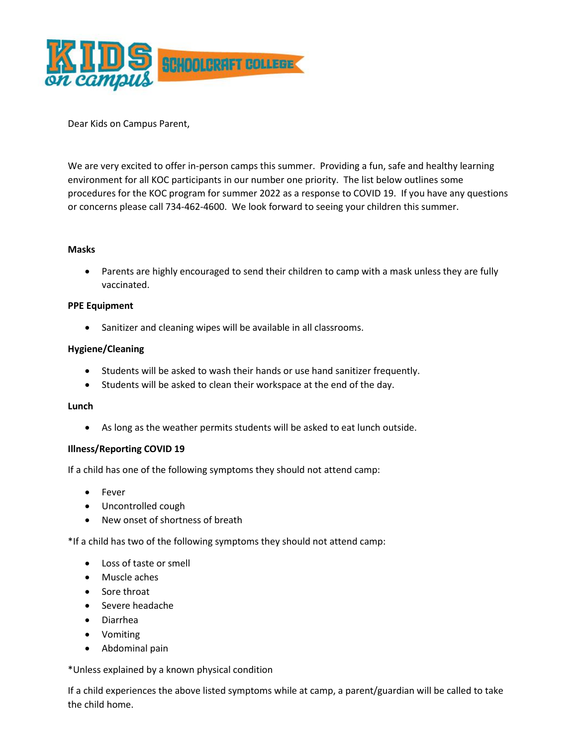

Dear Kids on Campus Parent,

We are very excited to offer in-person camps this summer. Providing a fun, safe and healthy learning environment for all KOC participants in our number one priority. The list below outlines some procedures for the KOC program for summer 2022 as a response to COVID 19. If you have any questions or concerns please call 734-462-4600. We look forward to seeing your children this summer.

## **Masks**

 Parents are highly encouraged to send their children to camp with a mask unless they are fully vaccinated.

## **PPE Equipment**

Sanitizer and cleaning wipes will be available in all classrooms.

## **Hygiene/Cleaning**

- Students will be asked to wash their hands or use hand sanitizer frequently.
- Students will be asked to clean their workspace at the end of the day.

#### **Lunch**

As long as the weather permits students will be asked to eat lunch outside.

## **Illness/Reporting COVID 19**

If a child has one of the following symptoms they should not attend camp:

- Fever
- Uncontrolled cough
- New onset of shortness of breath

\*If a child has two of the following symptoms they should not attend camp:

- Loss of taste or smell
- Muscle aches
- Sore throat
- Severe headache
- Diarrhea
- Vomiting
- Abdominal pain

\*Unless explained by a known physical condition

If a child experiences the above listed symptoms while at camp, a parent/guardian will be called to take the child home.